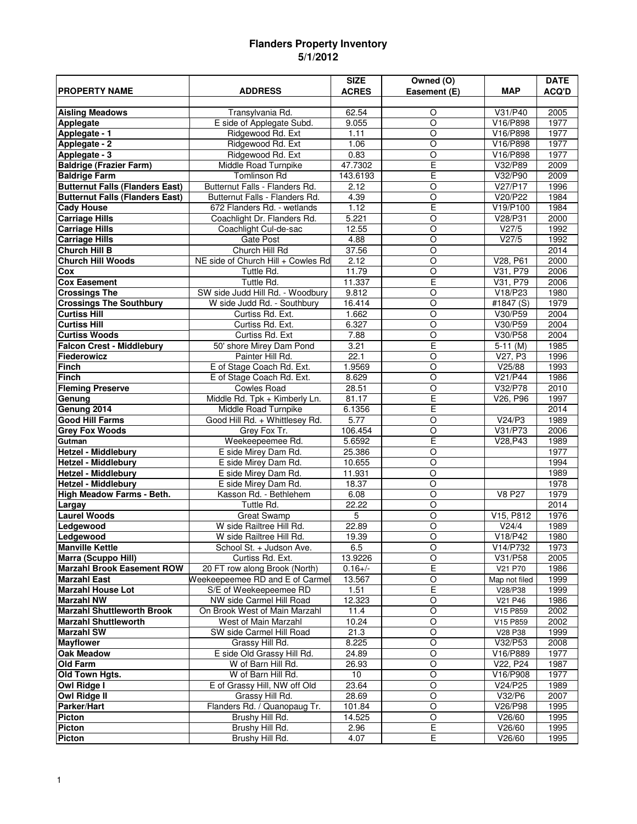## **Flanders Property Inventory 5/1/2012**

|                                        |                                    | <b>SIZE</b>     | Owned (O)          |               | <b>DATE</b>  |
|----------------------------------------|------------------------------------|-----------------|--------------------|---------------|--------------|
| <b>PROPERTY NAME</b>                   | <b>ADDRESS</b>                     | <b>ACRES</b>    | Easement (E)       | <b>MAP</b>    | <b>ACQ'D</b> |
|                                        |                                    |                 |                    |               |              |
| <b>Aisling Meadows</b>                 | Transylvania Rd.                   | 62.54           | O                  | V31/P40       | 2005         |
| <b>Applegate</b>                       | E side of Applegate Subd.          | 9.055           | $\circ$            | V16/P898      | 1977         |
| Applegate - 1                          | Ridgewood Rd. Ext                  | 1.11            | $\circ$            | V16/P898      | 1977         |
| Applegate - 2                          | Ridgewood Rd. Ext                  | 1.06            | $\circ$            | V16/P898      | 1977         |
| Applegate - 3                          | Ridgewood Rd. Ext                  | 0.83            | $\overline{O}$     | V16/P898      | 1977         |
| <b>Baldrige (Frazier Farm)</b>         | Middle Road Turnpike               | 47.7302         | E                  | V32/P89       | 2009         |
| <b>Baldrige Farm</b>                   | <b>Tomlinson Rd</b>                | 143.6193        | E                  | V32/P90       | 2009         |
| <b>Butternut Falls (Flanders East)</b> | Butternut Falls - Flanders Rd.     | 2.12            | $\overline{O}$     | V27/P17       | 1996         |
| <b>Butternut Falls (Flanders East)</b> | Butternut Falls - Flanders Rd.     | 4.39            | $\overline{O}$     | V20/P22       | 1984         |
| <b>Cady House</b>                      | 672 Flanders Rd. - wetlands        | 1.12            | E                  | V19/P100      | 1984         |
| <b>Carriage Hills</b>                  | Coachlight Dr. Flanders Rd.        | 5.221           | $\overline{O}$     | V28/P31       | 2000         |
| <b>Carriage Hills</b>                  | Coachlight Cul-de-sac              | 12.55           | $\overline{O}$     | V27/5         | 1992         |
| <b>Carriage Hills</b>                  | <b>Gate Post</b>                   | 4.88            | $\overline{O}$     | V27/5         | 1992         |
| <b>Church Hill B</b>                   | Church Hill Rd                     | 37.56           | $\circ$            |               | 2014         |
| <b>Church Hill Woods</b>               | NE side of Church Hill + Cowles Rd | 2.12            | $\overline{O}$     | V28, P61      | 2000         |
| $\overline{\text{Cox}}$                | Tuttle Rd.                         | 11.79           | $\overline{O}$     | V31, P79      | 2006         |
| <b>Cox Easement</b>                    | Tuttle Rd.                         | 11.337          | E                  | V31, P79      | 2006         |
| <b>Crossings The</b>                   | SW side Judd Hill Rd. - Woodbury   | 9.812           | $\overline{O}$     | V18/P23       | 1980         |
| <b>Crossings The Southbury</b>         | W side Judd Rd. - Southbury        | 16.414          | $\overline{O}$     | #1847 (S)     | 1979         |
| <b>Curtiss Hill</b>                    | Curtiss Rd. Ext.                   | 1.662           | $\circ$            | V30/P59       | 2004         |
| <b>Curtiss Hill</b>                    | Curtiss Rd. Ext.                   | 6.327           | $\overline{O}$     | V30/P59       | 2004         |
| <b>Curtiss Woods</b>                   | Curtiss Rd. Ext                    | 7.88            | $\overline{O}$     | V30/P58       | 2004         |
| <b>Falcon Crest - Middlebury</b>       | 50' shore Mirey Dam Pond           | 3.21            | E                  | $5-11$ (M)    | 1985         |
| Fiederowicz                            | Painter Hill Rd.                   | 22.1            | $\circ$            | V27, P3       | 1996         |
| <b>Finch</b>                           | E of Stage Coach Rd. Ext.          | 1.9569          | $\overline{O}$     | V25/88        | 1993         |
| <b>Finch</b>                           | E of Stage Coach Rd. Ext.          | 8.629           | $\overline{O}$     | V21/P44       | 1986         |
| <b>Fleming Preserve</b>                | <b>Cowles Road</b>                 | 28.51           | O                  | V32/P78       | 2010         |
| Genung                                 | Middle Rd. Tpk + Kimberly Ln.      | 81.17           | Ē                  | V26, P96      | 1997         |
| Genung 2014                            | Middle Road Turnpike               | 6.1356          | E                  |               | 2014         |
| <b>Good Hill Farms</b>                 | Good Hill Rd. + Whittlesey Rd.     | 5.77            | $\circ$            | V24/P3        | 1989         |
| <b>Grey Fox Woods</b>                  | Grey Fox Tr.                       | 106.454         | $\overline{O}$     | V31/P73       | 2006         |
| Gutman                                 | Weekeepeemee Rd.                   | 5.6592          | E                  | V28, P43      | 1989         |
| <b>Hetzel - Middlebury</b>             | E side Mirey Dam Rd.               | 25.386          | $\circ$            |               | 1977         |
| <b>Hetzel - Middlebury</b>             | E side Mirey Dam Rd.               | 10.655          | $\circ$            |               | 1994         |
| <b>Hetzel - Middlebury</b>             | E side Mirey Dam Rd.               | 11.931          | $\circ$            |               | 1989         |
| <b>Hetzel - Middlebury</b>             | E side Mirey Dam Rd.               | 18.37           | $\overline{O}$     |               | 1978         |
| High Meadow Farms - Beth.              | Kasson Rd. - Bethlehem             | 6.08            | O                  | <b>V8 P27</b> | 1979         |
| Largay                                 | Tuttle Rd.                         | 22.22           | $\overline{O}$     |               | 2014         |
| <b>Laurel Woods</b>                    | <b>Great Swamp</b>                 | 5               | $\overline{O}$     | V15, P812     | 1976         |
| Ledgewood                              | W side Railtree Hill Rd.           | 22.89           | $\circ$            | V24/4         | 1989         |
| Ledgewood                              | W side Railtree Hill Rd.           | 19.39           | $\overline{\circ}$ | V18/P42       | 1980         |
| <b>Manville Kettle</b>                 | School St. + Judson Ave.           | 6.5             | O                  | V14/P732      | 1973         |
| Marra (Scuppo Hill)                    | Curtiss Rd. Ext.                   | 13.9226         | $\circ$            | V31/P58       | 2005         |
| <b>Marzahl Brook Easement ROW</b>      | 20 FT row along Brook (North)      | $0.16+/-$       | Е                  | V21 P70       | 1986         |
| <b>Marzahl East</b>                    | Weekeepeemee RD and E of Carmel    | 13.567          | $\circ$            | Map not filed | 1999         |
| <b>Marzahl House Lot</b>               | S/E of Weekeepeemee RD             | 1.51            | E                  | V28/P38       | 1999         |
| <b>Marzahl NW</b>                      | NW side Carmel Hill Road           | 12.323          | O                  | V21 P46       | 1986         |
| <b>Marzahl Shuttleworth Brook</b>      | On Brook West of Main Marzahl      | 11.4            | $\overline{\circ}$ | V15 P859      | 2002         |
| <b>Marzahl Shuttleworth</b>            | West of Main Marzahl               | 10.24           | $\circ$            | V15 P859      | 2002         |
| <b>Marzahl SW</b>                      | SW side Carmel Hill Road           | 21.3            | O                  | V28 P38       | 1999         |
| <b>Mayflower</b>                       | Grassy Hill Rd.                    | 8.225           | $\overline{\circ}$ | V32/P53       | 2008         |
| <b>Oak Meadow</b>                      | E side Old Grassy Hill Rd.         | 24.89           | O                  | V16/P889      | 1977         |
| <b>Old Farm</b>                        | W of Barn Hill Rd.                 | 26.93           | $\overline{O}$     | V22, P24      | 1987         |
| Old Town Hgts.                         | W of Barn Hill Rd.                 | 10 <sub>1</sub> | O                  | V16/P908      | 1977         |
| Owl Ridge I                            | E of Grassy Hill, NW off Old       | 23.64           | $\overline{O}$     | V24/P25       | 1989         |
| <b>Owl Ridge II</b>                    | Grassy Hill Rd.                    | 28.69           | $\circ$            | V32/P6        | 2007         |
| Parker/Hart                            | Flanders Rd. / Quanopaug Tr.       | 101.84          | O                  | V26/P98       | 1995         |
| <b>Picton</b>                          | Brushy Hill Rd.                    | 14.525          | $\circ$            | V26/60        | 1995         |
| Picton                                 | Brushy Hill Rd.                    | 2.96            | E                  | V26/60        | 1995         |
| Picton                                 | Brushy Hill Rd.                    | 4.07            | E                  | V26/60        | 1995         |
|                                        |                                    |                 |                    |               |              |